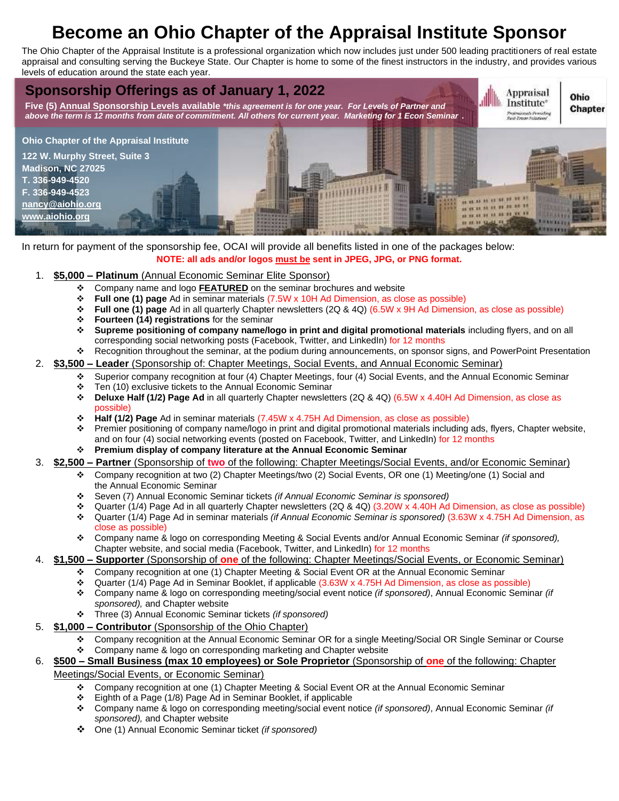# **Become an Ohio Chapter of the Appraisal Institute Sponsor**

The Ohio Chapter of the Appraisal Institute is a professional organization which now includes just under 500 leading practitioners of real estate appraisal and consulting serving the Buckeye State. Our Chapter is home to some of the finest instructors in the industry, and provides various levels of education around the state each year.



In return for payment of the sponsorship fee, OCAI will provide all benefits listed in one of the packages below: **NOTE: all ads and/or logos must be sent in JPEG, JPG, or PNG format.**

- 1. **\$5,000 – Platinum** (Annual Economic Seminar Elite Sponsor)
	- ❖ Company name and logo **FEATURED** on the seminar brochures and website
	- ❖ **Full one (1) page** Ad in seminar materials (7.5W x 10H Ad Dimension, as close as possible)
	- ❖ **Full one (1) page** Ad in all quarterly Chapter newsletters (2Q & 4Q) (6.5W x 9H Ad Dimension, as close as possible)
	- **Fourteen (14) registrations** for the seminar
	- ❖ **Supreme positioning of company name/logo in print and digital promotional materials** including flyers, and on all corresponding social networking posts (Facebook, Twitter, and LinkedIn) for 12 months
	- ❖ Recognition throughout the seminar, at the podium during announcements, on sponsor signs, and PowerPoint Presentation

## 2. **\$3,500 – Leader** (Sponsorship of: Chapter Meetings, Social Events, and Annual Economic Seminar)

- ❖ Superior company recognition at four (4) Chapter Meetings, four (4) Social Events, and the Annual Economic Seminar ❖ Ten (10) exclusive tickets to the Annual Economic Seminar
- ❖ **Deluxe Half (1/2) Page Ad** in all quarterly Chapter newsletters (2Q & 4Q) (6.5W x 4.40H Ad Dimension, as close as possible)
- ❖ **Half (1/2) Page** Ad in seminar materials (7.45W x 4.75H Ad Dimension, as close as possible)
- ❖ Premier positioning of company name/logo in print and digital promotional materials including ads, flyers, Chapter website, and on four (4) social networking events (posted on Facebook, Twitter, and LinkedIn) for 12 months
- ❖ **Premium display of company literature at the Annual Economic Seminar**
- 3. **\$2,500 – Partner** (Sponsorship of **two** of the following: Chapter Meetings/Social Events, and/or Economic Seminar)
	- ❖ Company recognition at two (2) Chapter Meetings/two (2) Social Events, OR one (1) Meeting/one (1) Social and the Annual Economic Seminar
	- ❖ Seven (7) Annual Economic Seminar tickets *(if Annual Economic Seminar is sponsored)*
	- ❖ Quarter (1/4) Page Ad in all quarterly Chapter newsletters (2Q & 4Q) (3.20W x 4.40H Ad Dimension, as close as possible) ❖ Quarter (1/4) Page Ad in seminar materials *(if Annual Economic Seminar is sponsored)* (3.63W x 4.75H Ad Dimension, as
	- close as possible) ❖ Company name & logo on corresponding Meeting & Social Events and/or Annual Economic Seminar *(if sponsored),*  Chapter website, and social media (Facebook, Twitter, and LinkedIn) for 12 months
- 4. **\$1,500 – Supporter** (Sponsorship of **one** of the following: Chapter Meetings/Social Events, or Economic Seminar)
	- ❖ Company recognition at one (1) Chapter Meeting & Social Event OR at the Annual Economic Seminar
	- ❖ Quarter (1/4) Page Ad in Seminar Booklet, if applicable (3.63W x 4.75H Ad Dimension, as close as possible)
	- ❖ Company name & logo on corresponding meeting/social event notice *(if sponsored)*, Annual Economic Seminar *(if sponsored),* and Chapter website
	- ❖ Three (3) Annual Economic Seminar tickets *(if sponsored)*
- 5. **\$1,000 – Contributor** (Sponsorship of the Ohio Chapter)
	- ❖ Company recognition at the Annual Economic Seminar OR for a single Meeting/Social OR Single Seminar or Course
- ❖ Company name & logo on corresponding marketing and Chapter website 6. **\$500 – Small Business (max 10 employees) or Sole Proprietor** (Sponsorship of **one** of the following: Chapter

#### Meetings/Social Events, or Economic Seminar)

- ❖ Company recognition at one (1) Chapter Meeting & Social Event OR at the Annual Economic Seminar
- ❖ Eighth of a Page (1/8) Page Ad in Seminar Booklet, if applicable
- ❖ Company name & logo on corresponding meeting/social event notice *(if sponsored)*, Annual Economic Seminar *(if sponsored),* and Chapter website
- ❖ One (1) Annual Economic Seminar ticket *(if sponsored)*